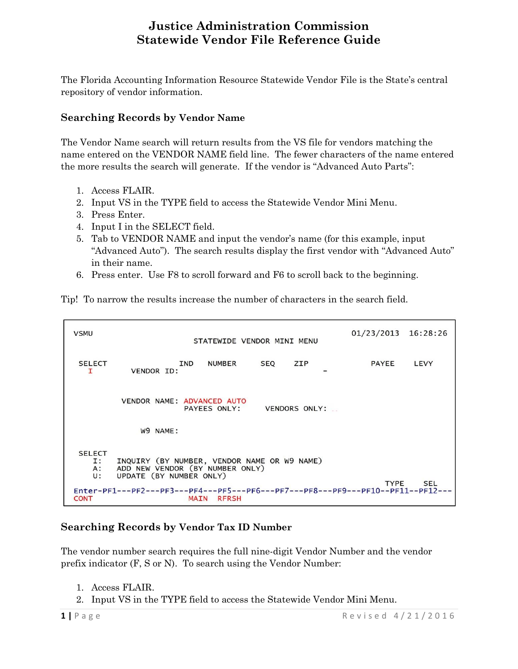The Florida Accounting Information Resource Statewide Vendor File is the State's central repository of vendor information.

### **Searching Records by Vendor Name**

The Vendor Name search will return results from the VS file for vendors matching the name entered on the VENDOR NAME field line. The fewer characters of the name entered the more results the search will generate. If the vendor is "Advanced Auto Parts":

- 1. Access FLAIR.
- 2. Input VS in the TYPE field to access the Statewide Vendor Mini Menu.
- 3. Press Enter.
- 4. Input I in the SELECT field.
- 5. Tab to VENDOR NAME and input the vendor's name (for this example, input "Advanced Auto"). The search results display the first vendor with "Advanced Auto" in their name.
- 6. Press enter. Use F8 to scroll forward and F6 to scroll back to the beginning.

Tip! To narrow the results increase the number of characters in the search field.

**VSMU** 01/23/2013 16:28:26 STATEWIDE VENDOR MINI MENU **SELECT** IND **NUMBER SEQ** ZIP **PAYEE** LEVY VENDOR ID: т VENDOR NAME: ADVANCED AUTO PAYEES ONLY: VENDORS ONLY: W9 NAME: **SELECT** INQUIRY (BY NUMBER, VENDOR NAME OR W9 NAME)<br>ADD NEW VENDOR (BY NUMBER ONLY) Ι: A: UPDATE (BY NUMBER ONLY) **U: TYPE SEL** Enter-PF1---PF2---PF3---PF4---PF5---PF6---PF7---PF8---PF9---PF10--PF11  $PF12-$ **CONT RFRSH MAIN** 

### **Searching Records by Vendor Tax ID Number**

The vendor number search requires the full nine-digit Vendor Number and the vendor prefix indicator (F, S or N). To search using the Vendor Number:

- 1. Access FLAIR.
- 2. Input VS in the TYPE field to access the Statewide Vendor Mini Menu.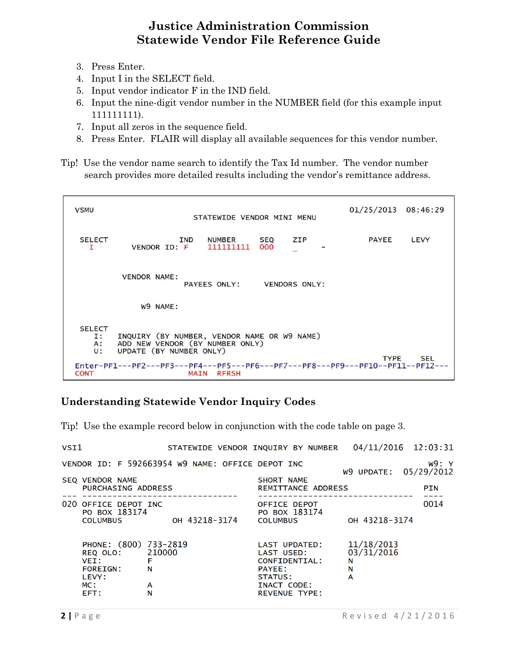- 3. Press Enter.
- 4. Input I in the SELECT field.
- 5. Input vendor indicator F in the IND field.
- 6. Input the nine-digit vendor number in the NUMBER field (for this example input 111111111).
- 7. Input all zeros in the sequence field.
- 8. Press Enter. FLAIR will display all available sequences for this vendor number.
- Tip! Use the vendor name search to identify the Tax Id number. The vendor number search provides more detailed results including the vendor's remittance address.



### **Understanding Statewide Vendor Inquiry Codes**

Tip! Use the example record below in conjunction with the code table on page 3.

| VSI1                                                                                                                                                              | STATEWIDE VENDOR INQUIRY BY NUMBER 04/11/2016 12:03:31 |                                                                                                                                             |                                                          |            |
|-------------------------------------------------------------------------------------------------------------------------------------------------------------------|--------------------------------------------------------|---------------------------------------------------------------------------------------------------------------------------------------------|----------------------------------------------------------|------------|
| VENDOR ID: F 592663954 W9 NAME: OFFICE DEPOT INC                                                                                                                  |                                                        |                                                                                                                                             | W9 UPDATE: 05/29/2012                                    | W9:Y       |
| <b>SEQ VENDOR NAME</b><br><b>PURCHASING ADDRESS</b>                                                                                                               |                                                        | SHORT NAME<br>REMITTANCE ADDRESS                                                                                                            |                                                          | <b>PIN</b> |
| 020 OFFICE DEPOT INC<br>PO BOX 183174<br><b>COLUMBUS</b><br>PHONE: (800) 733-2819<br>210000<br>REQ OLO:<br>F<br>VEI:<br>N<br><b>FOREIGN:</b><br>LEVY:<br>MC:<br>A | он 43218-3174                                          | OFFICE DEPOT<br>PO BOX 183174<br><b>COLUMBUS</b><br>LAST UPDATED:<br>LAST USED:<br>CONFIDENTIAL:<br><b>PAYEE:</b><br>STATUS:<br>INACT CODE: | OH 43218-3174<br>11/18/2013<br>03/31/2016<br>N<br>N<br>A | 0014       |
| N<br>EFT:                                                                                                                                                         |                                                        | <b>REVENUE TYPE:</b>                                                                                                                        |                                                          |            |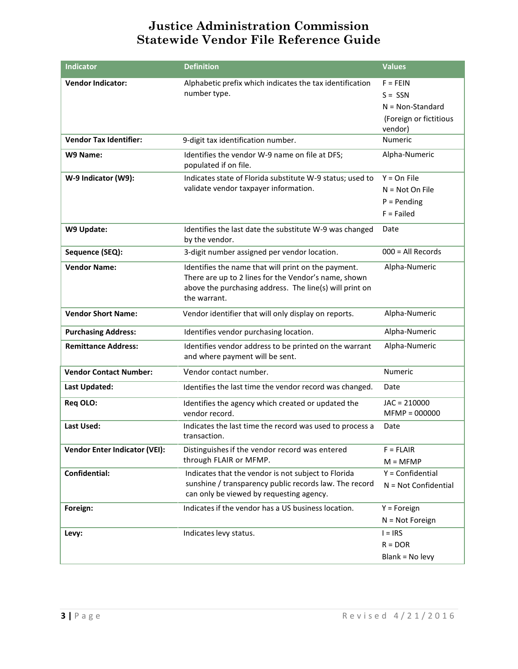| <b>Indicator</b>                     | <b>Definition</b>                                                                                                                                                                      | <b>Values</b>                                                                      |
|--------------------------------------|----------------------------------------------------------------------------------------------------------------------------------------------------------------------------------------|------------------------------------------------------------------------------------|
| <b>Vendor Indicator:</b>             | Alphabetic prefix which indicates the tax identification<br>number type.                                                                                                               | $F = FEIN$<br>$S = SSN$<br>$N = Non-Standard$<br>(Foreign or fictitious<br>vendor) |
| <b>Vendor Tax Identifier:</b>        | 9-digit tax identification number.                                                                                                                                                     | Numeric                                                                            |
| W9 Name:                             | Identifies the vendor W-9 name on file at DFS;<br>populated if on file.                                                                                                                | Alpha-Numeric                                                                      |
| W-9 Indicator (W9):                  | Indicates state of Florida substitute W-9 status; used to<br>validate vendor taxpayer information.                                                                                     | $Y = On File$<br>$N = Not On File$<br>$P = Pending$<br>$F =$ Failed                |
| W9 Update:                           | Identifies the last date the substitute W-9 was changed<br>by the vendor.                                                                                                              | Date                                                                               |
| Sequence (SEQ):                      | 3-digit number assigned per vendor location.                                                                                                                                           | $000 = All Records$                                                                |
| <b>Vendor Name:</b>                  | Identifies the name that will print on the payment.<br>There are up to 2 lines for the Vendor's name, shown<br>above the purchasing address. The line(s) will print on<br>the warrant. | Alpha-Numeric                                                                      |
| <b>Vendor Short Name:</b>            | Vendor identifier that will only display on reports.                                                                                                                                   | Alpha-Numeric                                                                      |
| <b>Purchasing Address:</b>           | Identifies vendor purchasing location.                                                                                                                                                 | Alpha-Numeric                                                                      |
| <b>Remittance Address:</b>           | Identifies vendor address to be printed on the warrant<br>and where payment will be sent.                                                                                              | Alpha-Numeric                                                                      |
| <b>Vendor Contact Number:</b>        | Vendor contact number.                                                                                                                                                                 | Numeric                                                                            |
| <b>Last Updated:</b>                 | Identifies the last time the vendor record was changed.                                                                                                                                | Date                                                                               |
| Req OLO:                             | Identifies the agency which created or updated the<br>vendor record.                                                                                                                   | $JAC = 210000$<br>$MFMP = 000000$                                                  |
| <b>Last Used:</b>                    | Indicates the last time the record was used to process a<br>transaction.                                                                                                               | Date                                                                               |
| <b>Vendor Enter Indicator (VEI):</b> | Distinguishes if the vendor record was entered<br>through FLAIR or MFMP.                                                                                                               | $F = FLAIR$<br>$M = M F M P$                                                       |
| Confidential:                        | Indicates that the vendor is not subject to Florida<br>sunshine / transparency public records law. The record<br>can only be viewed by requesting agency.                              | $Y =$ Confidential<br>$N = Not$ Confidential                                       |
| Foreign:                             | Indicates if the vendor has a US business location.                                                                                                                                    | $Y =$ Foreign<br>$N = Not Foreign$                                                 |
| Levy:                                | Indicates levy status.                                                                                                                                                                 | $I = IRS$<br>$R = DOR$<br>Blank = No levy                                          |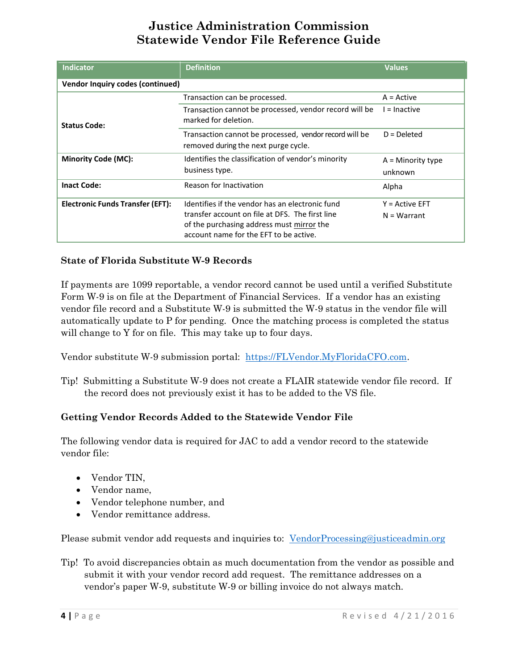| <b>Indicator</b>                        | <b>Definition</b>                                                                              | <b>Values</b>       |  |  |  |
|-----------------------------------------|------------------------------------------------------------------------------------------------|---------------------|--|--|--|
| <b>Vendor Inquiry codes (continued)</b> |                                                                                                |                     |  |  |  |
| <b>Status Code:</b>                     | Transaction can be processed.                                                                  | $A = Active$        |  |  |  |
|                                         | Transaction cannot be processed, vendor record will be<br>marked for deletion.                 | $l = Inactive$      |  |  |  |
|                                         | Transaction cannot be processed, vendor record will be<br>removed during the next purge cycle. | $D = Deleted$       |  |  |  |
| <b>Minority Code (MC):</b>              | Identifies the classification of vendor's minority                                             | $A =$ Minority type |  |  |  |
|                                         | business type.                                                                                 | unknown             |  |  |  |
| <b>Inact Code:</b>                      | Reason for Inactivation                                                                        | Alpha               |  |  |  |
| <b>Electronic Funds Transfer (EFT):</b> | Identifies if the vendor has an electronic fund                                                | $Y = Active EFT$    |  |  |  |
|                                         | transfer account on file at DFS. The first line                                                | $N = Warrant$       |  |  |  |
|                                         | of the purchasing address must mirror the<br>account name for the EFT to be active.            |                     |  |  |  |

#### **State of Florida Substitute W-9 Records**

If payments are 1099 reportable, a vendor record cannot be used until a verified Substitute Form W-9 is on file at the Department of Financial Services. If a vendor has an existing vendor file record and a Substitute W-9 is submitted the W-9 status in the vendor file will automatically update to P for pending. Once the matching process is completed the status will change to Y for on file. This may take up to four days.

Vendor substitute W-9 submission portal: [https://FLVendor.MyFloridaCFO.com.](https://flvendor.myfloridacfo.com/)

Tip! Submitting a Substitute W-9 does not create a FLAIR statewide vendor file record. If the record does not previously exist it has to be added to the VS file.

#### **Getting Vendor Records Added to the Statewide Vendor File**

The following vendor data is required for JAC to add a vendor record to the statewide vendor file:

- Vendor TIN,
- Vendor name,
- Vendor telephone number, and
- Vendor remittance address.

Please submit vendor add requests and inquiries to: [VendorProcessing@justiceadmin.org](mailto:VendorProcessing@justiceadmin.org)

Tip! To avoid discrepancies obtain as much documentation from the vendor as possible and submit it with your vendor record add request. The remittance addresses on a vendor's paper W-9, substitute W-9 or billing invoice do not always match.